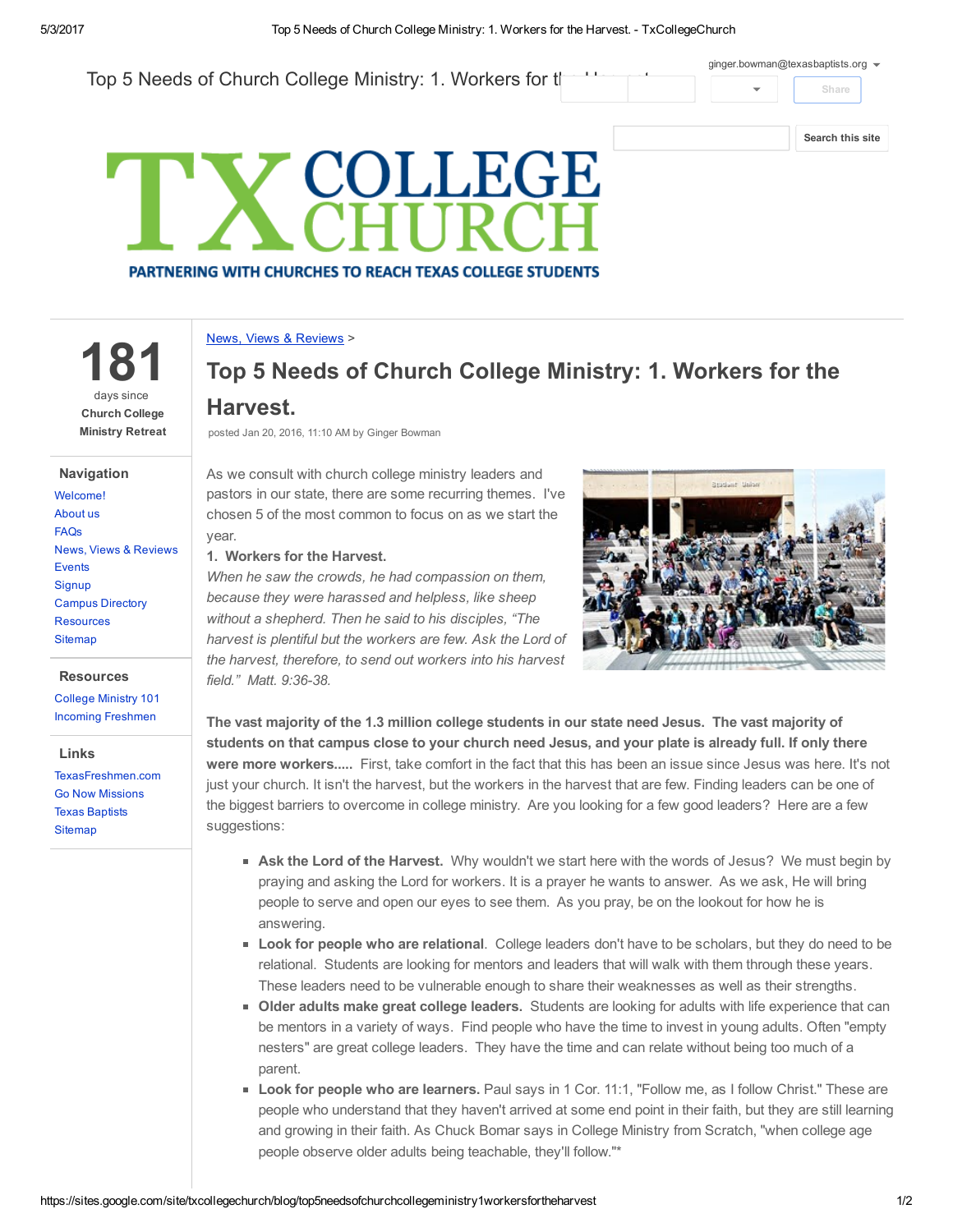

### News, Views & [Reviews](https://sites.google.com/site/txcollegechurch/blog) >

181 days since Church College Ministry Retreat

### Navigation

[Welcome!](https://sites.google.com/site/txcollegechurch/home) [About](https://sites.google.com/site/txcollegechurch/about) us [FAQs](https://sites.google.com/site/txcollegechurch/faqs) News, Views & [Reviews](https://sites.google.com/site/txcollegechurch/blog) [Events](https://sites.google.com/site/txcollegechurch/events) **[Signup](https://sites.google.com/site/txcollegechurch/signup)** Campus [Directory](https://sites.google.com/site/txcollegechurch/campus-directory) [Resources](https://sites.google.com/site/txcollegechurch/resources) **Siteman** 

#### **Resources**

[College](https://sites.google.com/site/txcollegechurch/resources/college-ministry-essentials) Ministry 101 Incoming [Freshmen](https://sites.google.com/site/txcollegechurch/resources/incoming-freshmen)

Links

[TexasFreshmen.com](http://texasfreshmen.com/) Go Now [Missions](http://www.gonowmissions.com/) Texas [Baptists](http://www.texasbaptists.org/) **[Sitemap](https://sites.google.com/site/txcollegechurch/system/app/pages/sitemap/hierarchy)** 

# Top 5 Needs of Church College Ministry: 1. Workers for the Harvest.

posted Jan 20, 2016, 11:10 AM by Ginger Bowman

As we consult with church college ministry leaders and pastors in our state, there are some recurring themes. I've chosen 5 of the most common to focus on as we start the year.

1. Workers for the Harvest.

When he saw the crowds, he had compassion on them, because they were harassed and helpless, like sheep without a shepherd. Then he said to his disciples, "The harvest is plentiful but the workers are few. Ask the Lord of the harvest, therefore, to send out workers into his harvest field." Matt. 9:36-38.



The vast majority of the 1.3 million college students in our state need Jesus. The vast majority of students on that campus close to your church need Jesus, and your plate is already full. If only there were more workers..... First, take comfort in the fact that this has been an issue since Jesus was here. It's not just your church. It isn't the harvest, but the workers in the harvest that are few. Finding leaders can be one of the biggest barriers to overcome in college ministry. Are you looking for a few good leaders? Here are a few suggestions:

- **Ask the Lord of the Harvest.** Why wouldn't we start here with the words of Jesus? We must begin by praying and asking the Lord for workers. It is a prayer he wants to answer. As we ask, He will bring people to serve and open our eyes to see them. As you pray, be on the lookout for how he is answering.
- **Look for people who are relational.** College leaders don't have to be scholars, but they do need to be relational. Students are looking for mentors and leaders that will walk with them through these years. These leaders need to be vulnerable enough to share their weaknesses as well as their strengths.
- Older adults make great college leaders. Students are looking for adults with life experience that can be mentors in a variety of ways. Find people who have the time to invest in young adults. Often "empty nesters" are great college leaders. They have the time and can relate without being too much of a parent.
- **Look for people who are learners.** Paul says in 1 Cor. 11:1, "Follow me, as I follow Christ." These are people who understand that they haven't arrived at some end point in their faith, but they are still learning and growing in their faith. As Chuck Bomar says in College Ministry from Scratch, "when college age people observe older adults being teachable, they'll follow."\*